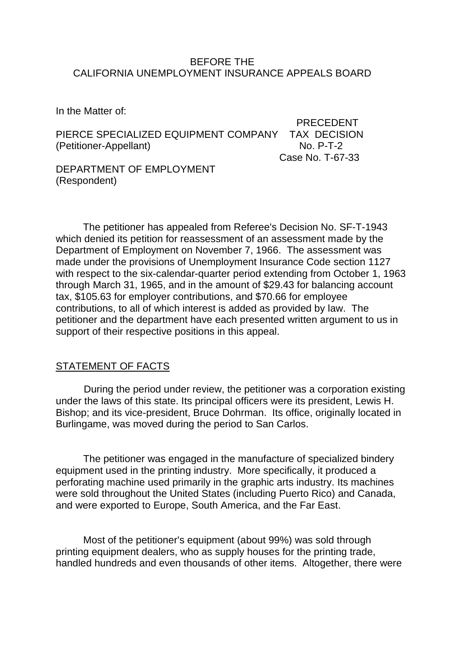### BEFORE THE CALIFORNIA UNEMPLOYMENT INSURANCE APPEALS BOARD

In the Matter of:

PRECEDENT PIERCE SPECIALIZED EQUIPMENT COMPANY TAX DECISION (Petitioner-Appellant) No. P-T-2 Case No. T-67-33

DEPARTMENT OF EMPLOYMENT (Respondent)

The petitioner has appealed from Referee's Decision No. SF-T-1943 which denied its petition for reassessment of an assessment made by the Department of Employment on November 7, 1966. The assessment was made under the provisions of Unemployment Insurance Code section 1127 with respect to the six-calendar-quarter period extending from October 1, 1963 through March 31, 1965, and in the amount of \$29.43 for balancing account tax, \$105.63 for employer contributions, and \$70.66 for employee contributions, to all of which interest is added as provided by law. The petitioner and the department have each presented written argument to us in support of their respective positions in this appeal.

# STATEMENT OF FACTS

During the period under review, the petitioner was a corporation existing under the laws of this state. Its principal officers were its president, Lewis H. Bishop; and its vice-president, Bruce Dohrman. Its office, originally located in Burlingame, was moved during the period to San Carlos.

The petitioner was engaged in the manufacture of specialized bindery equipment used in the printing industry. More specifically, it produced a perforating machine used primarily in the graphic arts industry. Its machines were sold throughout the United States (including Puerto Rico) and Canada, and were exported to Europe, South America, and the Far East.

Most of the petitioner's equipment (about 99%) was sold through printing equipment dealers, who as supply houses for the printing trade, handled hundreds and even thousands of other items. Altogether, there were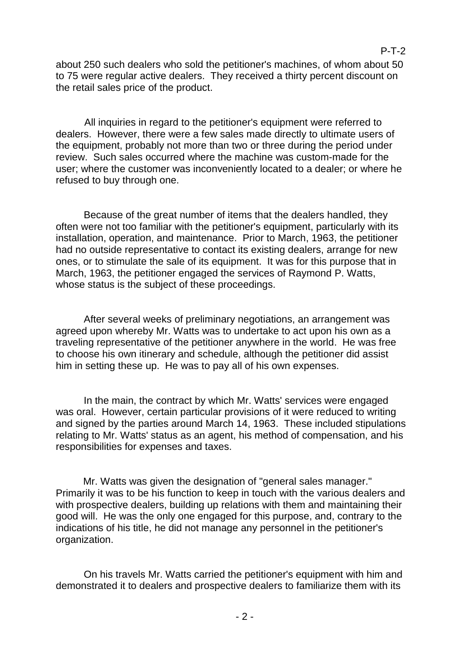about 250 such dealers who sold the petitioner's machines, of whom about 50 to 75 were regular active dealers. They received a thirty percent discount on the retail sales price of the product.

All inquiries in regard to the petitioner's equipment were referred to dealers. However, there were a few sales made directly to ultimate users of the equipment, probably not more than two or three during the period under review. Such sales occurred where the machine was custom-made for the user; where the customer was inconveniently located to a dealer; or where he refused to buy through one.

Because of the great number of items that the dealers handled, they often were not too familiar with the petitioner's equipment, particularly with its installation, operation, and maintenance. Prior to March, 1963, the petitioner had no outside representative to contact its existing dealers, arrange for new ones, or to stimulate the sale of its equipment. It was for this purpose that in March, 1963, the petitioner engaged the services of Raymond P. Watts, whose status is the subject of these proceedings.

After several weeks of preliminary negotiations, an arrangement was agreed upon whereby Mr. Watts was to undertake to act upon his own as a traveling representative of the petitioner anywhere in the world. He was free to choose his own itinerary and schedule, although the petitioner did assist him in setting these up. He was to pay all of his own expenses.

In the main, the contract by which Mr. Watts' services were engaged was oral. However, certain particular provisions of it were reduced to writing and signed by the parties around March 14, 1963. These included stipulations relating to Mr. Watts' status as an agent, his method of compensation, and his responsibilities for expenses and taxes.

Mr. Watts was given the designation of "general sales manager." Primarily it was to be his function to keep in touch with the various dealers and with prospective dealers, building up relations with them and maintaining their good will. He was the only one engaged for this purpose, and, contrary to the indications of his title, he did not manage any personnel in the petitioner's organization.

On his travels Mr. Watts carried the petitioner's equipment with him and demonstrated it to dealers and prospective dealers to familiarize them with its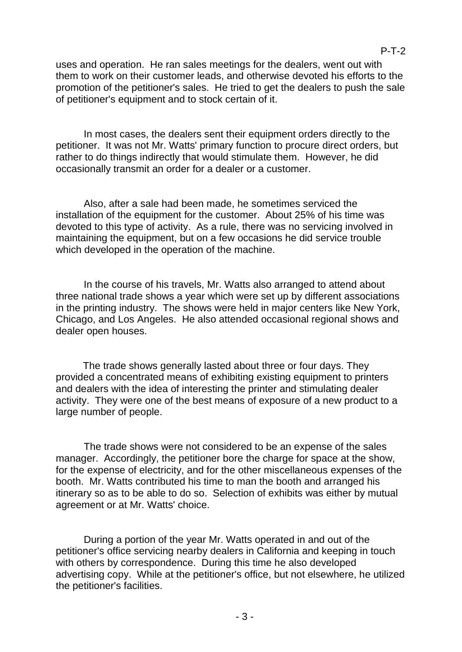uses and operation. He ran sales meetings for the dealers, went out with them to work on their customer leads, and otherwise devoted his efforts to the promotion of the petitioner's sales. He tried to get the dealers to push the sale of petitioner's equipment and to stock certain of it.

In most cases, the dealers sent their equipment orders directly to the petitioner. It was not Mr. Watts' primary function to procure direct orders, but rather to do things indirectly that would stimulate them. However, he did occasionally transmit an order for a dealer or a customer.

Also, after a sale had been made, he sometimes serviced the installation of the equipment for the customer. About 25% of his time was devoted to this type of activity. As a rule, there was no servicing involved in maintaining the equipment, but on a few occasions he did service trouble which developed in the operation of the machine.

In the course of his travels, Mr. Watts also arranged to attend about three national trade shows a year which were set up by different associations in the printing industry. The shows were held in major centers like New York, Chicago, and Los Angeles. He also attended occasional regional shows and dealer open houses.

The trade shows generally lasted about three or four days. They provided a concentrated means of exhibiting existing equipment to printers and dealers with the idea of interesting the printer and stimulating dealer activity. They were one of the best means of exposure of a new product to a large number of people.

The trade shows were not considered to be an expense of the sales manager. Accordingly, the petitioner bore the charge for space at the show, for the expense of electricity, and for the other miscellaneous expenses of the booth. Mr. Watts contributed his time to man the booth and arranged his itinerary so as to be able to do so. Selection of exhibits was either by mutual agreement or at Mr. Watts' choice.

During a portion of the year Mr. Watts operated in and out of the petitioner's office servicing nearby dealers in California and keeping in touch with others by correspondence. During this time he also developed advertising copy. While at the petitioner's office, but not elsewhere, he utilized the petitioner's facilities.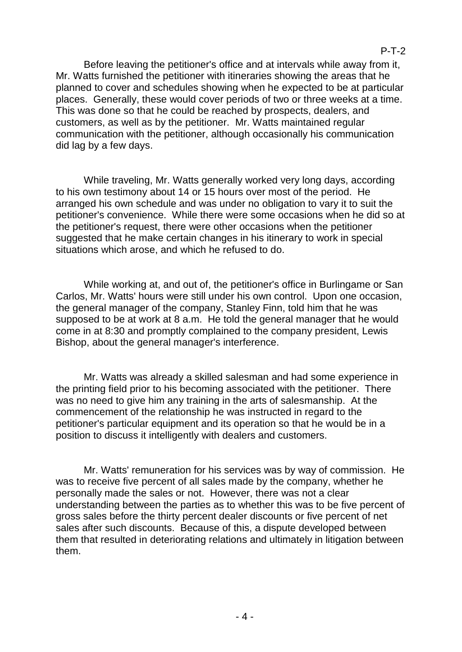Before leaving the petitioner's office and at intervals while away from it, Mr. Watts furnished the petitioner with itineraries showing the areas that he planned to cover and schedules showing when he expected to be at particular places. Generally, these would cover periods of two or three weeks at a time. This was done so that he could be reached by prospects, dealers, and customers, as well as by the petitioner. Mr. Watts maintained regular communication with the petitioner, although occasionally his communication did lag by a few days.

While traveling, Mr. Watts generally worked very long days, according to his own testimony about 14 or 15 hours over most of the period. He arranged his own schedule and was under no obligation to vary it to suit the petitioner's convenience. While there were some occasions when he did so at the petitioner's request, there were other occasions when the petitioner suggested that he make certain changes in his itinerary to work in special situations which arose, and which he refused to do.

While working at, and out of, the petitioner's office in Burlingame or San Carlos, Mr. Watts' hours were still under his own control. Upon one occasion, the general manager of the company, Stanley Finn, told him that he was supposed to be at work at 8 a.m. He told the general manager that he would come in at 8:30 and promptly complained to the company president, Lewis Bishop, about the general manager's interference.

Mr. Watts was already a skilled salesman and had some experience in the printing field prior to his becoming associated with the petitioner. There was no need to give him any training in the arts of salesmanship. At the commencement of the relationship he was instructed in regard to the petitioner's particular equipment and its operation so that he would be in a position to discuss it intelligently with dealers and customers.

Mr. Watts' remuneration for his services was by way of commission. He was to receive five percent of all sales made by the company, whether he personally made the sales or not. However, there was not a clear understanding between the parties as to whether this was to be five percent of gross sales before the thirty percent dealer discounts or five percent of net sales after such discounts. Because of this, a dispute developed between them that resulted in deteriorating relations and ultimately in litigation between them.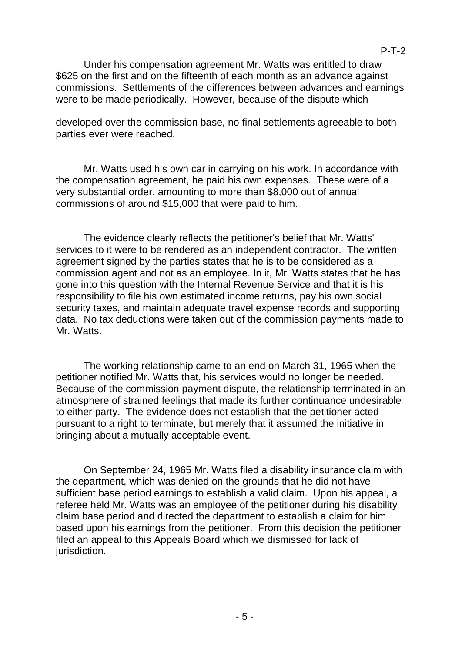Under his compensation agreement Mr. Watts was entitled to draw \$625 on the first and on the fifteenth of each month as an advance against commissions. Settlements of the differences between advances and earnings were to be made periodically. However, because of the dispute which

developed over the commission base, no final settlements agreeable to both parties ever were reached.

Mr. Watts used his own car in carrying on his work. In accordance with the compensation agreement, he paid his own expenses. These were of a very substantial order, amounting to more than \$8,000 out of annual commissions of around \$15,000 that were paid to him.

The evidence clearly reflects the petitioner's belief that Mr. Watts' services to it were to be rendered as an independent contractor. The written agreement signed by the parties states that he is to be considered as a commission agent and not as an employee. In it, Mr. Watts states that he has gone into this question with the Internal Revenue Service and that it is his responsibility to file his own estimated income returns, pay his own social security taxes, and maintain adequate travel expense records and supporting data. No tax deductions were taken out of the commission payments made to Mr. Watts.

The working relationship came to an end on March 31, 1965 when the petitioner notified Mr. Watts that, his services would no longer be needed. Because of the commission payment dispute, the relationship terminated in an atmosphere of strained feelings that made its further continuance undesirable to either party. The evidence does not establish that the petitioner acted pursuant to a right to terminate, but merely that it assumed the initiative in bringing about a mutually acceptable event.

On September 24, 1965 Mr. Watts filed a disability insurance claim with the department, which was denied on the grounds that he did not have sufficient base period earnings to establish a valid claim. Upon his appeal, a referee held Mr. Watts was an employee of the petitioner during his disability claim base period and directed the department to establish a claim for him based upon his earnings from the petitioner. From this decision the petitioner filed an appeal to this Appeals Board which we dismissed for lack of jurisdiction.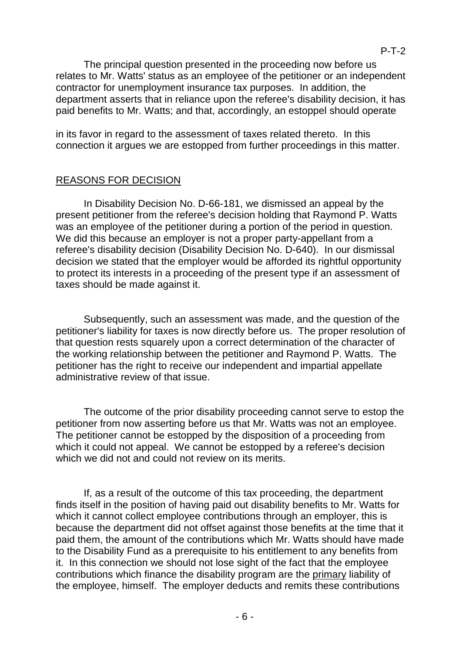The principal question presented in the proceeding now before us relates to Mr. Watts' status as an employee of the petitioner or an independent contractor for unemployment insurance tax purposes. In addition, the department asserts that in reliance upon the referee's disability decision, it has paid benefits to Mr. Watts; and that, accordingly, an estoppel should operate

in its favor in regard to the assessment of taxes related thereto. In this connection it argues we are estopped from further proceedings in this matter.

# REASONS FOR DECISION

In Disability Decision No. D-66-181, we dismissed an appeal by the present petitioner from the referee's decision holding that Raymond P. Watts was an employee of the petitioner during a portion of the period in question. We did this because an employer is not a proper party-appellant from a referee's disability decision (Disability Decision No. D-640). In our dismissal decision we stated that the employer would be afforded its rightful opportunity to protect its interests in a proceeding of the present type if an assessment of taxes should be made against it.

Subsequently, such an assessment was made, and the question of the petitioner's liability for taxes is now directly before us. The proper resolution of that question rests squarely upon a correct determination of the character of the working relationship between the petitioner and Raymond P. Watts. The petitioner has the right to receive our independent and impartial appellate administrative review of that issue.

The outcome of the prior disability proceeding cannot serve to estop the petitioner from now asserting before us that Mr. Watts was not an employee. The petitioner cannot be estopped by the disposition of a proceeding from which it could not appeal. We cannot be estopped by a referee's decision which we did not and could not review on its merits.

If, as a result of the outcome of this tax proceeding, the department finds itself in the position of having paid out disability benefits to Mr. Watts for which it cannot collect employee contributions through an employer, this is because the department did not offset against those benefits at the time that it paid them, the amount of the contributions which Mr. Watts should have made to the Disability Fund as a prerequisite to his entitlement to any benefits from it. In this connection we should not lose sight of the fact that the employee contributions which finance the disability program are the primary liability of the employee, himself. The employer deducts and remits these contributions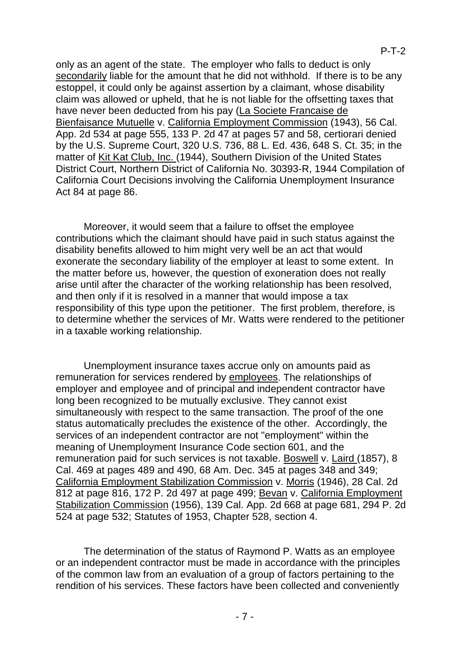only as an agent of the state. The employer who falls to deduct is only secondarily liable for the amount that he did not withhold. If there is to be any estoppel, it could only be against assertion by a claimant, whose disability claim was allowed or upheld, that he is not liable for the offsetting taxes that have never been deducted from his pay (La Societe Francaise de Bienfaisance Mutuelle v. California Employment Commission (1943), 56 Cal. App. 2d 534 at page 555, 133 P. 2d 47 at pages 57 and 58, certiorari denied by the U.S. Supreme Court, 320 U.S. 736, 88 L. Ed. 436, 648 S. Ct. 35; in the matter of Kit Kat Club, Inc. (1944), Southern Division of the United States District Court, Northern District of California No. 30393-R, 1944 Compilation of California Court Decisions involving the California Unemployment Insurance Act 84 at page 86.

Moreover, it would seem that a failure to offset the employee contributions which the claimant should have paid in such status against the disability benefits allowed to him might very well be an act that would exonerate the secondary liability of the employer at least to some extent. In the matter before us, however, the question of exoneration does not really arise until after the character of the working relationship has been resolved, and then only if it is resolved in a manner that would impose a tax responsibility of this type upon the petitioner. The first problem, therefore, is to determine whether the services of Mr. Watts were rendered to the petitioner in a taxable working relationship.

Unemployment insurance taxes accrue only on amounts paid as remuneration for services rendered by employees. The relationships of employer and employee and of principal and independent contractor have long been recognized to be mutually exclusive. They cannot exist simultaneously with respect to the same transaction. The proof of the one status automatically precludes the existence of the other. Accordingly, the services of an independent contractor are not "employment" within the meaning of Unemployment Insurance Code section 601, and the remuneration paid for such services is not taxable. Boswell v. Laird (1857), 8 Cal. 469 at pages 489 and 490, 68 Am. Dec. 345 at pages 348 and 349; California Employment Stabilization Commission v. Morris (1946), 28 Cal. 2d 812 at page 816, 172 P. 2d 497 at page 499; Bevan v. California Employment Stabilization Commission (1956), 139 Cal. App. 2d 668 at page 681, 294 P. 2d 524 at page 532; Statutes of 1953, Chapter 528, section 4.

The determination of the status of Raymond P. Watts as an employee or an independent contractor must be made in accordance with the principles of the common law from an evaluation of a group of factors pertaining to the rendition of his services. These factors have been collected and conveniently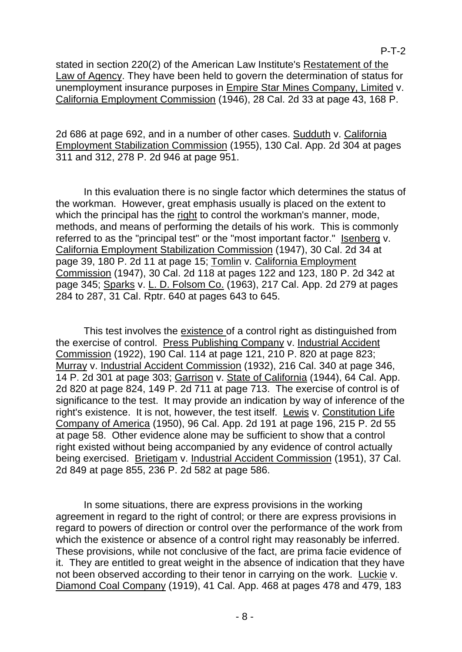stated in section 220(2) of the American Law Institute's Restatement of the Law of Agency. They have been held to govern the determination of status for unemployment insurance purposes in Empire Star Mines Company, Limited v. California Employment Commission (1946), 28 Cal. 2d 33 at page 43, 168 P.

P-T-2

2d 686 at page 692, and in a number of other cases. Sudduth v. California Employment Stabilization Commission (1955), 130 Cal. App. 2d 304 at pages 311 and 312, 278 P. 2d 946 at page 951.

In this evaluation there is no single factor which determines the status of the workman. However, great emphasis usually is placed on the extent to which the principal has the right to control the workman's manner, mode, methods, and means of performing the details of his work. This is commonly referred to as the "principal test" or the "most important factor." Isenberg v. California Employment Stabilization Commission (1947), 30 Cal. 2d 34 at page 39, 180 P. 2d 11 at page 15; Tomlin v. California Employment Commission (1947), 30 Cal. 2d 118 at pages 122 and 123, 180 P. 2d 342 at page 345; Sparks v. L. D. Folsom Co. (1963), 217 Cal. App. 2d 279 at pages 284 to 287, 31 Cal. Rptr. 640 at pages 643 to 645.

This test involves the existence of a control right as distinguished from the exercise of control. Press Publishing Company v. Industrial Accident Commission (1922), 190 Cal. 114 at page 121, 210 P. 820 at page 823; Murray v. Industrial Accident Commission (1932), 216 Cal. 340 at page 346, 14 P. 2d 301 at page 303; Garrison v. State of California (1944), 64 Cal. App. 2d 820 at page 824, 149 P. 2d 711 at page 713. The exercise of control is of significance to the test. It may provide an indication by way of inference of the right's existence. It is not, however, the test itself. Lewis v. Constitution Life Company of America (1950), 96 Cal. App. 2d 191 at page 196, 215 P. 2d 55 at page 58. Other evidence alone may be sufficient to show that a control right existed without being accompanied by any evidence of control actually being exercised. Brietigam v. Industrial Accident Commission (1951), 37 Cal. 2d 849 at page 855, 236 P. 2d 582 at page 586.

In some situations, there are express provisions in the working agreement in regard to the right of control; or there are express provisions in regard to powers of direction or control over the performance of the work from which the existence or absence of a control right may reasonably be inferred. These provisions, while not conclusive of the fact, are prima facie evidence of it. They are entitled to great weight in the absence of indication that they have not been observed according to their tenor in carrying on the work. Luckie v. Diamond Coal Company (1919), 41 Cal. App. 468 at pages 478 and 479, 183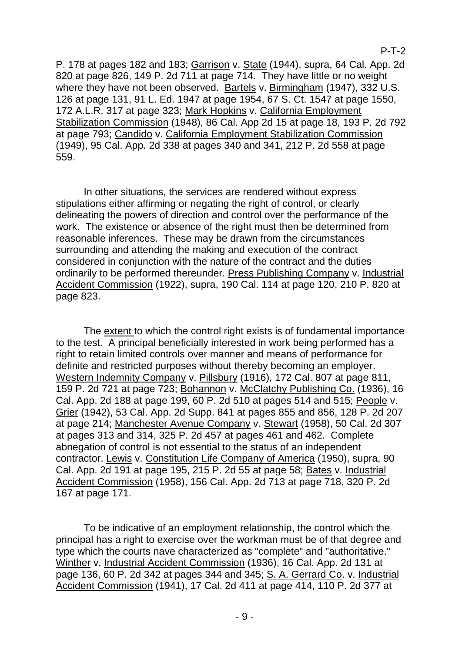P. 178 at pages 182 and 183; Garrison v. State (1944), supra, 64 Cal. App. 2d 820 at page 826, 149 P. 2d 711 at page 714. They have little or no weight where they have not been observed. Bartels v. Birmingham (1947), 332 U.S. 126 at page 131, 91 L. Ed. 1947 at page 1954, 67 S. Ct. 1547 at page 1550, 172 A.L.R. 317 at page 323; Mark Hopkins v. California Employment Stabilization Commission (1948), 86 Cal. App 2d 15 at page 18, 193 P. 2d 792 at page 793; Candido v. California Employment Stabilization Commission (1949), 95 Cal. App. 2d 338 at pages 340 and 341, 212 P. 2d 558 at page 559.

In other situations, the services are rendered without express stipulations either affirming or negating the right of control, or clearly delineating the powers of direction and control over the performance of the work. The existence or absence of the right must then be determined from reasonable inferences. These may be drawn from the circumstances surrounding and attending the making and execution of the contract considered in conjunction with the nature of the contract and the duties ordinarily to be performed thereunder. Press Publishing Company v. Industrial Accident Commission (1922), supra, 190 Cal. 114 at page 120, 210 P. 820 at page 823.

The extent to which the control right exists is of fundamental importance to the test. A principal beneficially interested in work being performed has a right to retain limited controls over manner and means of performance for definite and restricted purposes without thereby becoming an employer. Western Indemnity Company v. Pillsbury (1916), 172 Cal. 807 at page 811, 159 P. 2d 721 at page 723; Bohannon v. McClatchy Publishing Co. (1936), 16 Cal. App. 2d 188 at page 199, 60 P. 2d 510 at pages 514 and 515; People v. Grier (1942), 53 Cal. App. 2d Supp. 841 at pages 855 and 856, 128 P. 2d 207 at page 214; Manchester Avenue Company v. Stewart (1958), 50 Cal. 2d 307 at pages 313 and 314, 325 P. 2d 457 at pages 461 and 462. Complete abnegation of control is not essential to the status of an independent contractor. Lewis v. Constitution Life Company of America (1950), supra, 90 Cal. App. 2d 191 at page 195, 215 P. 2d 55 at page 58; Bates v. Industrial Accident Commission (1958), 156 Cal. App. 2d 713 at page 718, 320 P. 2d 167 at page 171.

To be indicative of an employment relationship, the control which the principal has a right to exercise over the workman must be of that degree and type which the courts nave characterized as "complete" and "authoritative.'' Winther v. Industrial Accident Commission (1936), 16 Cal. App. 2d 131 at page 136, 60 P. 2d 342 at pages 344 and 345; S. A. Gerrard Co. v. Industrial Accident Commission (1941), 17 Cal. 2d 411 at page 414, 110 P. 2d 377 at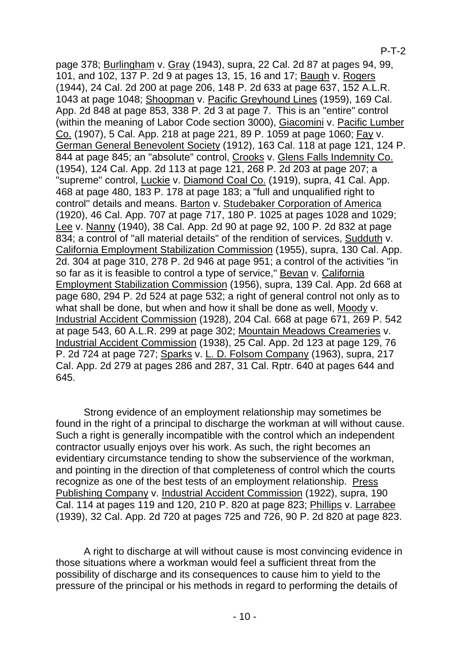# P-T-2

page 378; Burlingham v. Gray (1943), supra, 22 Cal. 2d 87 at pages 94, 99, 101, and 102, 137 P. 2d 9 at pages 13, 15, 16 and 17; Baugh v. Rogers (1944), 24 Cal. 2d 200 at page 206, 148 P. 2d 633 at page 637, 152 A.L.R. 1043 at page 1048; Shoopman v. Pacific Greyhound Lines (1959), 169 Cal. App. 2d 848 at page 853, 338 P. 2d 3 at page 7. This is an "entire" control (within the meaning of Labor Code section 3000), Giacomini v. Pacific Lumber Co. (1907), 5 Cal. App. 218 at page 221, 89 P. 1059 at page 1060; Fay v. German General Benevolent Society (1912), 163 Cal. 118 at page 121, 124 P. 844 at page 845; an "absolute" control, Crooks v. Glens Falls Indemnity Co. (1954), 124 Cal. App. 2d 113 at page 121, 268 P. 2d 203 at page 207; a "supreme" control, Luckie v. Diamond Coal Co. (1919), supra, 41 Cal. App. 468 at page 480, 183 P. 178 at page 183; a "full and unqualified right to control'' details and means. Barton v. Studebaker Corporation of America (1920), 46 Cal. App. 707 at page 717, 180 P. 1025 at pages 1028 and 1029; Lee v. Nanny (1940), 38 Cal. App. 2d 90 at page 92, 100 P. 2d 832 at page 834; a control of "all material details" of the rendition of services, Sudduth v. California Employment Stabilization Commission (1955), supra, 130 Cal. App. 2d. 304 at page 310, 278 P. 2d 946 at page 951; a control of the activities "in so far as it is feasible to control a type of service," Bevan v. California Employment Stabilization Commission (1956), supra, 139 Cal. App. 2d 668 at page 680, 294 P. 2d 524 at page 532; a right of general control not only as to what shall be done, but when and how it shall be done as well, Moody v. Industrial Accident Commission (1928), 204 Cal. 668 at page 671, 269 P. 542 at page 543, 60 A.L.R. 299 at page 302; Mountain Meadows Creameries v. Industrial Accident Commission (1938), 25 Cal. App. 2d 123 at page 129, 76 P. 2d 724 at page 727; Sparks v. L. D. Folsom Company (1963), supra, 217 Cal. App. 2d 279 at pages 286 and 287, 31 Cal. Rptr. 640 at pages 644 and 645.

Strong evidence of an employment relationship may sometimes be found in the right of a principal to discharge the workman at will without cause. Such a right is generally incompatible with the control which an independent contractor usually enjoys over his work. As such, the right becomes an evidentiary circumstance tending to show the subservience of the workman, and pointing in the direction of that completeness of control which the courts recognize as one of the best tests of an employment relationship. Press Publishing Company v. Industrial Accident Commission (1922), supra, 190 Cal. 114 at pages 119 and 120, 210 P. 820 at page 823; Phillips v. Larrabee (1939), 32 Cal. App. 2d 720 at pages 725 and 726, 90 P. 2d 820 at page 823.

A right to discharge at will without cause is most convincing evidence in those situations where a workman would feel a sufficient threat from the possibility of discharge and its consequences to cause him to yield to the pressure of the principal or his methods in regard to performing the details of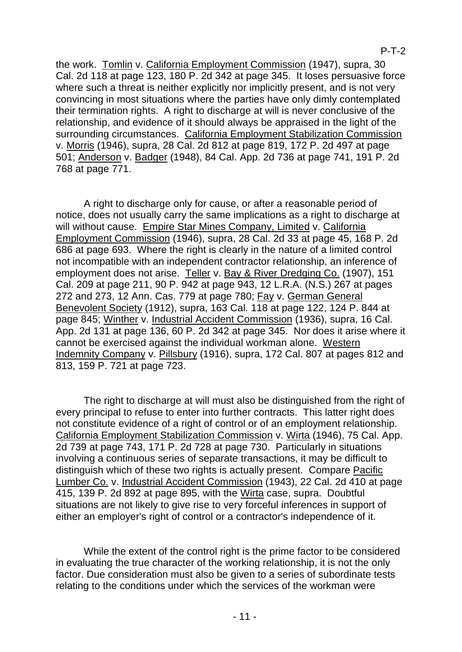P-T-2

the work. Tomlin v. California Employment Commission (1947), supra, 30 Cal. 2d 118 at page 123, 180 P. 2d 342 at page 345. It loses persuasive force where such a threat is neither explicitly nor implicitly present, and is not very convincing in most situations where the parties have only dimly contemplated their termination rights. A right to discharge at will is never conclusive of the relationship, and evidence of it should always be appraised in the light of the surrounding circumstances. California Employment Stabilization Commission v. Morris (1946), supra, 28 Cal. 2d 812 at page 819, 172 P. 2d 497 at page 501; Anderson v. Badger (1948), 84 Cal. App. 2d 736 at page 741, 191 P. 2d 768 at page 771.

A right to discharge only for cause, or after a reasonable period of notice, does not usually carry the same implications as a right to discharge at will without cause. Empire Star Mines Company, Limited v. California Employment Commission (1946), supra, 28 Cal. 2d 33 at page 45, 168 P. 2d 686 at page 693. Where the right is clearly in the nature of a limited control not incompatible with an independent contractor relationship, an inference of employment does not arise. Teller v. Bay & River Dredging Co. (1907), 151 Cal. 209 at page 211, 90 P. 942 at page 943, 12 L.R.A. (N.S.) 267 at pages 272 and 273, 12 Ann. Cas. 779 at page 780; Fay v. German General Benevolent Society (1912), supra, 163 Cal. 118 at page 122, 124 P. 844 at page 845; Winther v. Industrial Accident Commission (1936), supra, 16 Cal. App. 2d 131 at page 136, 60 P. 2d 342 at page 345. Nor does it arise where it cannot be exercised against the individual workman alone. Western Indemnity Company v. Pillsbury (1916), supra, 172 Cal. 807 at pages 812 and 813, 159 P. 721 at page 723.

The right to discharge at will must also be distinguished from the right of every principal to refuse to enter into further contracts. This latter right does not constitute evidence of a right of control or of an employment relationship. California Employment Stabilization Commission v. Wirta (1946), 75 Cal. App. 2d 739 at page 743, 171 P. 2d 728 at page 730. Particularly in situations involving a continuous series of separate transactions, it may be difficult to distinguish which of these two rights is actually present. Compare Pacific Lumber Co. v. Industrial Accident Commission (1943), 22 Cal. 2d 410 at page 415, 139 P. 2d 892 at page 895, with the Wirta case, supra. Doubtful situations are not likely to give rise to very forceful inferences in support of either an employer's right of control or a contractor's independence of it.

While the extent of the control right is the prime factor to be considered in evaluating the true character of the working relationship, it is not the only factor. Due consideration must also be given to a series of subordinate tests relating to the conditions under which the services of the workman were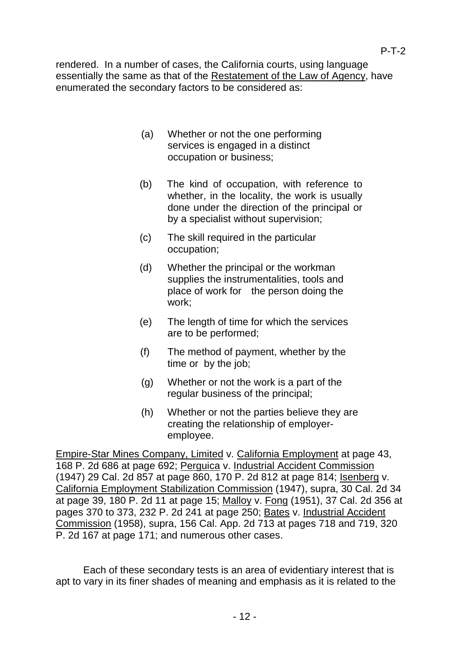rendered. In a number of cases, the California courts, using language essentially the same as that of the Restatement of the Law of Agency, have enumerated the secondary factors to be considered as:

- (a) Whether or not the one performing services is engaged in a distinct occupation or business;
- (b) The kind of occupation, with reference to whether, in the locality, the work is usually done under the direction of the principal or by a specialist without supervision;
- (c) The skill required in the particular occupation;
- (d) Whether the principal or the workman supplies the instrumentalities, tools and place of work for the person doing the work;
- (e) The length of time for which the services are to be performed;
- (f) The method of payment, whether by the time or by the job;
- (g) Whether or not the work is a part of the regular business of the principal;
- (h) Whether or not the parties believe they are creating the relationship of employeremployee.

Empire-Star Mines Company, Limited v. California Employment at page 43, 168 P. 2d 686 at page 692; Perguica v. Industrial Accident Commission (1947) 29 Cal. 2d 857 at page 860, 170 P. 2d 812 at page 814; Isenberg v. California Employment Stabilization Commission (1947), supra, 30 Cal. 2d 34 at page 39, 180 P. 2d 11 at page 15; Malloy v. Fong (1951), 37 Cal. 2d 356 at pages 370 to 373, 232 P. 2d 241 at page 250; Bates v. Industrial Accident Commission (1958), supra, 156 Cal. App. 2d 713 at pages 718 and 719, 320 P. 2d 167 at page 171; and numerous other cases.

Each of these secondary tests is an area of evidentiary interest that is apt to vary in its finer shades of meaning and emphasis as it is related to the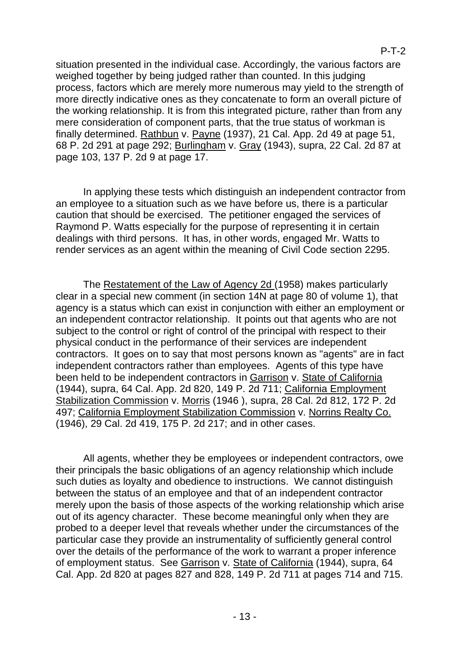situation presented in the individual case. Accordingly, the various factors are weighed together by being judged rather than counted. In this judging process, factors which are merely more numerous may yield to the strength of more directly indicative ones as they concatenate to form an overall picture of the working relationship. It is from this integrated picture, rather than from any mere consideration of component parts, that the true status of workman is finally determined. Rathbun v. Payne (1937), 21 Cal. App. 2d 49 at page 51, 68 P. 2d 291 at page 292; Burlingham v. Gray (1943), supra, 22 Cal. 2d 87 at page 103, 137 P. 2d 9 at page 17.

In applying these tests which distinguish an independent contractor from an employee to a situation such as we have before us, there is a particular caution that should be exercised. The petitioner engaged the services of Raymond P. Watts especially for the purpose of representing it in certain dealings with third persons. It has, in other words, engaged Mr. Watts to render services as an agent within the meaning of Civil Code section 2295.

The Restatement of the Law of Agency 2d (1958) makes particularly clear in a special new comment (in section 14N at page 80 of volume 1), that agency is a status which can exist in conjunction with either an employment or an independent contractor relationship. It points out that agents who are not subject to the control or right of control of the principal with respect to their physical conduct in the performance of their services are independent contractors. It goes on to say that most persons known as "agents" are in fact independent contractors rather than employees. Agents of this type have been held to be independent contractors in Garrison v. State of California (1944), supra, 64 Cal. App. 2d 820, 149 P. 2d 711; California Employment Stabilization Commission v. Morris (1946 ), supra, 28 Cal. 2d 812, 172 P. 2d 497; California Employment Stabilization Commission v. Norrins Realty Co. (1946), 29 Cal. 2d 419, 175 P. 2d 217; and in other cases.

All agents, whether they be employees or independent contractors, owe their principals the basic obligations of an agency relationship which include such duties as loyalty and obedience to instructions. We cannot distinguish between the status of an employee and that of an independent contractor merely upon the basis of those aspects of the working relationship which arise out of its agency character. These become meaningful only when they are probed to a deeper level that reveals whether under the circumstances of the particular case they provide an instrumentality of sufficiently general control over the details of the performance of the work to warrant a proper inference of employment status. See Garrison v. State of California (1944), supra, 64 Cal. App. 2d 820 at pages 827 and 828, 149 P. 2d 711 at pages 714 and 715.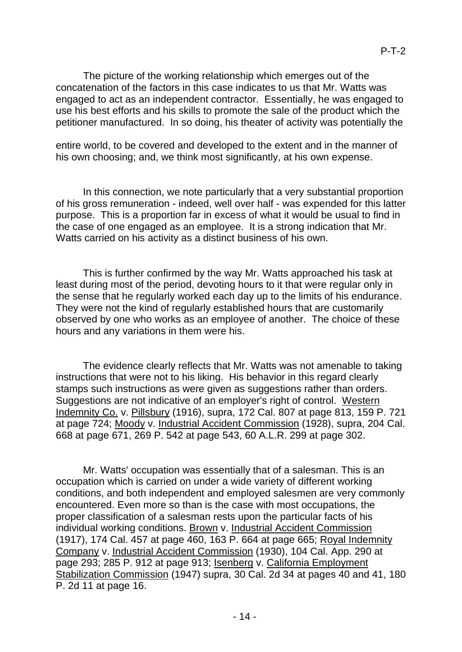The picture of the working relationship which emerges out of the concatenation of the factors in this case indicates to us that Mr. Watts was engaged to act as an independent contractor. Essentially, he was engaged to use his best efforts and his skills to promote the sale of the product which the petitioner manufactured. In so doing, his theater of activity was potentially the

entire world, to be covered and developed to the extent and in the manner of his own choosing; and, we think most significantly, at his own expense.

In this connection, we note particularly that a very substantial proportion of his gross remuneration - indeed, well over half - was expended for this latter purpose. This is a proportion far in excess of what it would be usual to find in the case of one engaged as an employee. It is a strong indication that Mr. Watts carried on his activity as a distinct business of his own.

This is further confirmed by the way Mr. Watts approached his task at least during most of the period, devoting hours to it that were regular only in the sense that he regularly worked each day up to the limits of his endurance. They were not the kind of regularly established hours that are customarily observed by one who works as an employee of another. The choice of these hours and any variations in them were his.

The evidence clearly reflects that Mr. Watts was not amenable to taking instructions that were not to his liking. His behavior in this regard clearly stamps such instructions as were given as suggestions rather than orders. Suggestions are not indicative of an employer's right of control. Western Indemnity Co. v. Pillsbury (1916), supra, 172 Cal. 807 at page 813, 159 P. 721 at page 724; Moody v. Industrial Accident Commission (1928), supra, 204 Cal. 668 at page 671, 269 P. 542 at page 543, 60 A.L.R. 299 at page 302.

Mr. Watts' occupation was essentially that of a salesman. This is an occupation which is carried on under a wide variety of different working conditions, and both independent and employed salesmen are very commonly encountered. Even more so than is the case with most occupations, the proper classification of a salesman rests upon the particular facts of his individual working conditions. Brown v. Industrial Accident Commission (1917), 174 Cal. 457 at page 460, 163 P. 664 at page 665; Royal Indemnity Company v. Industrial Accident Commission (1930), 104 Cal. App. 290 at page 293; 285 P. 912 at page 913; Isenberg v. California Employment Stabilization Commission (1947) supra, 30 Cal. 2d 34 at pages 40 and 41, 180 P. 2d 11 at page 16.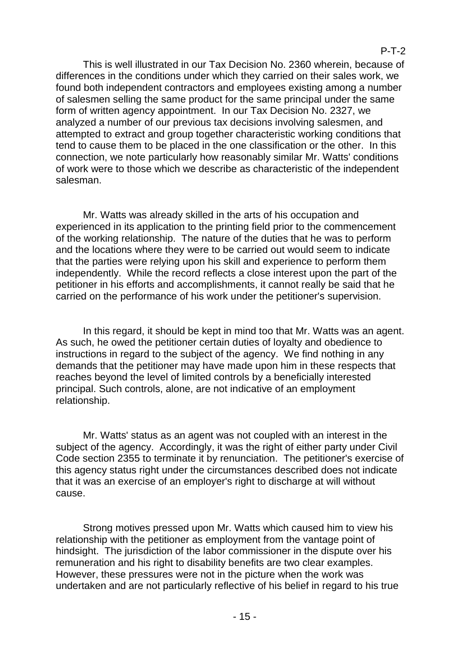This is well illustrated in our Tax Decision No. 2360 wherein, because of differences in the conditions under which they carried on their sales work, we found both independent contractors and employees existing among a number of salesmen selling the same product for the same principal under the same form of written agency appointment. In our Tax Decision No. 2327, we analyzed a number of our previous tax decisions involving salesmen, and attempted to extract and group together characteristic working conditions that tend to cause them to be placed in the one classification or the other. In this connection, we note particularly how reasonably similar Mr. Watts' conditions of work were to those which we describe as characteristic of the independent salesman.

Mr. Watts was already skilled in the arts of his occupation and experienced in its application to the printing field prior to the commencement of the working relationship. The nature of the duties that he was to perform and the locations where they were to be carried out would seem to indicate that the parties were relying upon his skill and experience to perform them independently. While the record reflects a close interest upon the part of the petitioner in his efforts and accomplishments, it cannot really be said that he carried on the performance of his work under the petitioner's supervision.

In this regard, it should be kept in mind too that Mr. Watts was an agent. As such, he owed the petitioner certain duties of loyalty and obedience to instructions in regard to the subject of the agency. We find nothing in any demands that the petitioner may have made upon him in these respects that reaches beyond the level of limited controls by a beneficially interested principal. Such controls, alone, are not indicative of an employment relationship.

Mr. Watts' status as an agent was not coupled with an interest in the subject of the agency. Accordingly, it was the right of either party under Civil Code section 2355 to terminate it by renunciation. The petitioner's exercise of this agency status right under the circumstances described does not indicate that it was an exercise of an employer's right to discharge at will without cause.

Strong motives pressed upon Mr. Watts which caused him to view his relationship with the petitioner as employment from the vantage point of hindsight. The jurisdiction of the labor commissioner in the dispute over his remuneration and his right to disability benefits are two clear examples. However, these pressures were not in the picture when the work was undertaken and are not particularly reflective of his belief in regard to his true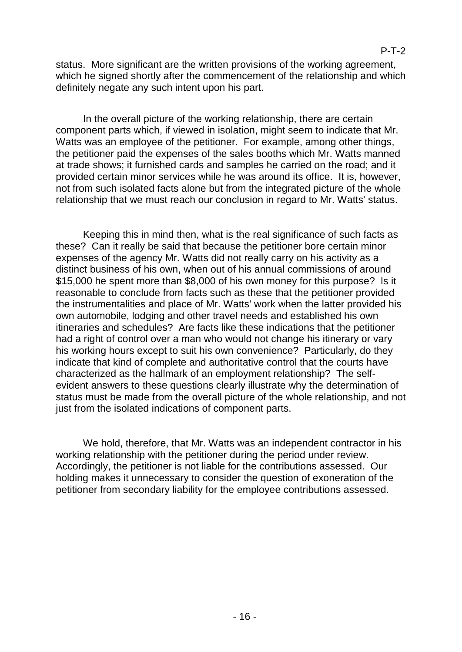status. More significant are the written provisions of the working agreement, which he signed shortly after the commencement of the relationship and which definitely negate any such intent upon his part.

In the overall picture of the working relationship, there are certain component parts which, if viewed in isolation, might seem to indicate that Mr. Watts was an employee of the petitioner. For example, among other things, the petitioner paid the expenses of the sales booths which Mr. Watts manned at trade shows; it furnished cards and samples he carried on the road; and it provided certain minor services while he was around its office. It is, however, not from such isolated facts alone but from the integrated picture of the whole relationship that we must reach our conclusion in regard to Mr. Watts' status.

Keeping this in mind then, what is the real significance of such facts as these? Can it really be said that because the petitioner bore certain minor expenses of the agency Mr. Watts did not really carry on his activity as a distinct business of his own, when out of his annual commissions of around \$15,000 he spent more than \$8,000 of his own money for this purpose? Is it reasonable to conclude from facts such as these that the petitioner provided the instrumentalities and place of Mr. Watts' work when the latter provided his own automobile, lodging and other travel needs and established his own itineraries and schedules? Are facts like these indications that the petitioner had a right of control over a man who would not change his itinerary or vary his working hours except to suit his own convenience? Particularly, do they indicate that kind of complete and authoritative control that the courts have characterized as the hallmark of an employment relationship? The selfevident answers to these questions clearly illustrate why the determination of status must be made from the overall picture of the whole relationship, and not just from the isolated indications of component parts.

We hold, therefore, that Mr. Watts was an independent contractor in his working relationship with the petitioner during the period under review. Accordingly, the petitioner is not liable for the contributions assessed. Our holding makes it unnecessary to consider the question of exoneration of the petitioner from secondary liability for the employee contributions assessed.